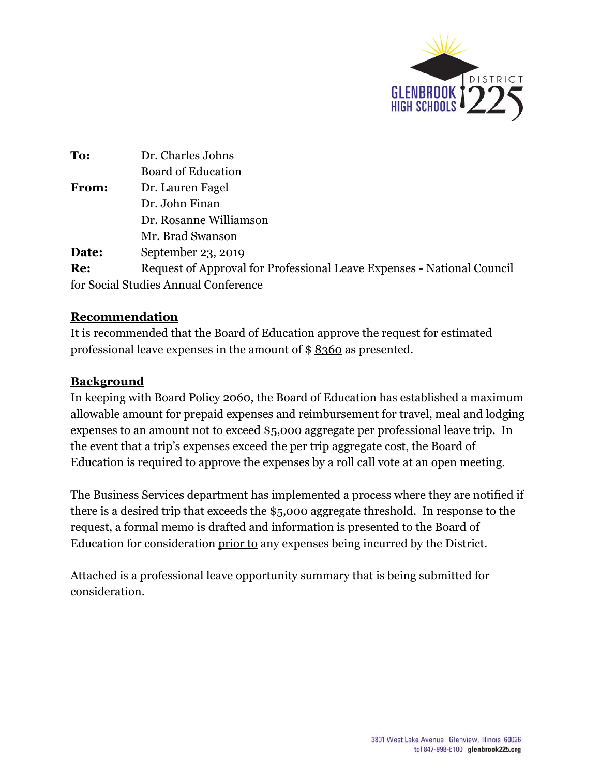

| To:   | Dr. Charles Johns                                                      |  |
|-------|------------------------------------------------------------------------|--|
|       | <b>Board of Education</b>                                              |  |
| From: | Dr. Lauren Fagel                                                       |  |
|       | Dr. John Finan                                                         |  |
|       | Dr. Rosanne Williamson                                                 |  |
|       | Mr. Brad Swanson                                                       |  |
| Date: | September 23, 2019                                                     |  |
| Re:   | Request of Approval for Professional Leave Expenses - National Council |  |
|       | for Social Studies Annual Conference                                   |  |

## **Recommendation**

It is recommended that the Board of Education approve the request for estimated professional leave expenses in the amount of \$ 8360 as presented.

## **Background**

In keeping with Board Policy 2060, the Board of Education has established a maximum allowable amount for prepaid expenses and reimbursement for travel, meal and lodging expenses to an amount not to exceed \$5,000 aggregate per professional leave trip. In the event that a trip's expenses exceed the per trip aggregate cost, the Board of Education is required to approve the expenses by a roll call vote at an open meeting.

The Business Services department has implemented a process where they are notified if there is a desired trip that exceeds the \$5,000 aggregate threshold. In response to the request, a formal memo is drafted and information is presented to the Board of Education for consideration prior to any expenses being incurred by the District.

Attached is a professional leave opportunity summary that is being submitted for consideration.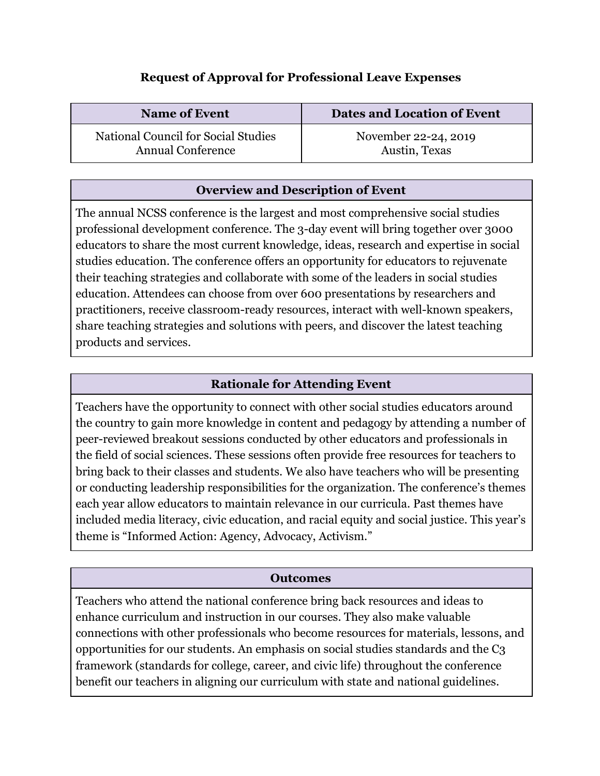# **Request of Approval for Professional Leave Expenses**

| <b>Name of Event</b>                | Dates and Location of Event |
|-------------------------------------|-----------------------------|
| National Council for Social Studies | November 22-24, 2019        |
| <b>Annual Conference</b>            | Austin, Texas               |

## **Overview and Description of Event**

The annual NCSS conference is the largest and most comprehensive social studies professional development conference. The 3-day event will bring together over 3000 educators to share the most current knowledge, ideas, research and expertise in social studies education. The conference offers an opportunity for educators to rejuvenate their teaching strategies and collaborate with some of the leaders in social studies education. Attendees can choose from over 600 presentations by researchers and practitioners, receive classroom-ready resources, interact with well-known speakers, share teaching strategies and solutions with peers, and discover the latest teaching products and services.

## **Rationale for Attending Event**

Teachers have the opportunity to connect with other social studies educators around the country to gain more knowledge in content and pedagogy by attending a number of peer-reviewed breakout sessions conducted by other educators and professionals in the field of social sciences. These sessions often provide free resources for teachers to bring back to their classes and students. We also have teachers who will be presenting or conducting leadership responsibilities for the organization. The conference's themes each year allow educators to maintain relevance in our curricula. Past themes have included media literacy, civic education, and racial equity and social justice. This year's theme is "Informed Action: Agency, Advocacy, Activism."

#### **Outcomes**

Teachers who attend the national conference bring back resources and ideas to enhance curriculum and instruction in our courses. They also make valuable connections with other professionals who become resources for materials, lessons, and opportunities for our students. An emphasis on social studies standards and the C3 framework (standards for college, career, and civic life) throughout the conference benefit our teachers in aligning our curriculum with state and national guidelines.